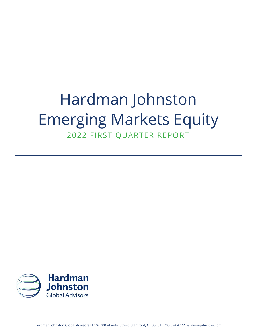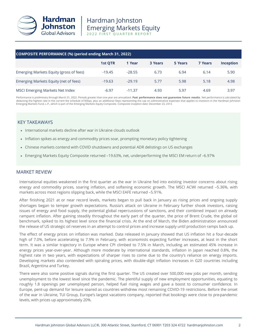

| COMPOSITE PERFORMANCE (%) (period ending March 31, 2022) |                |          |         |         |                |           |  |  |
|----------------------------------------------------------|----------------|----------|---------|---------|----------------|-----------|--|--|
|                                                          | <b>1st QTR</b> | 1 Year   | 3 Years | 5 Years | <b>7 Years</b> | Inception |  |  |
| Emerging Markets Equity (gross of fees)                  | $-19.45$       | $-28.55$ | 6.73    | 6.94    | 6.14           | 5.90      |  |  |
| Emerging Markets Equity (net of fees)                    | $-19.63$       | $-29.19$ | 5.77    | 5.98    | 5.18           | 4.98      |  |  |
| <b>MSCI Emerging Markets Net Index</b>                   | $-6.97$        | $-11.37$ | 4.93    | 5.97    | 4.69           | 3.97      |  |  |

Performance is preliminary through March 31, 2022. Periods greater than one year are annualized. **Past performance does not guarantee future results.** Net performance is calculated by deducting the highest rate in the current fee schedule of 85bps, plus an additional 5bps representing the cap on administrative expenses that applies to investors in the Hardman Johnston Emerging Markets Fund, L.P., which is part of the Emerging Markets Equity Composite. Composite inception date: December 23, 2013.

### KEY TAKEAWAYS

- International markets decline after war in Ukraine clouds outlook
- Inflation spikes as energy and commodity prices soar, prompting monetary policy tightening
- Chinese markets contend with COVID shutdowns and potential ADR delistings on US exchanges
- Emerging Markets Equity Composite returned –19.63%, net, underperforming the MSCI EM return of –6.97%

#### MARKET REVIEW

International equities weakened in the first quarter as the war in Ukraine fed into existing investor concerns about rising energy and commodity prices, soaring inflation, and softening economic growth. The MSCI ACWI returned –5.36%, with markets across most regions slipping back, while the MSCI EAFE returned –5.91%.

After finishing 2021 at or near record levels, markets began to pull back in January as rising prices and ongoing supply shortages began to temper growth expectations. Russia's attack on Ukraine in February further shook investors, raising issues of energy and food supply, the potential global repercussions of sanctions, and their combined impact on already rampant inflation. After gaining steadily throughout the early part of the quarter, the price of Brent Crude, the global oil benchmark, spiked to its highest level since the financial crisis. At the end of March, the Biden administration announced the release of US strategic oil reserves in an attempt to control prices and increase supply until production ramps back up.

The effect of energy prices on inflation was marked. Data released in January showed that US inflation hit a four-decade high of 7.0%, before accelerating to 7.9% in February, with economists expecting further increases, at least in the short term. It was a similar trajectory in Europe where CPI climbed to 7.5% in March, including an estimated 45% increase in energy prices year-over-year. Although more moderate by international standards, inflation in Japan reached 0.8%, the highest rate in two years, with expectations of sharper rises to come due to the country's reliance on energy imports. Developing markets also contended with spiraling prices, with double-digit inflation increases in G20 countries including Brazil, Argentina and Turkey.

There were also some positive signals during the first quarter. The US created over 500,000 new jobs per month, sending unemployment to the lowest level since the pandemic. The plentiful supply of new employment opportunities, equating to roughly 1.8 openings per unemployed person, helped fuel rising wages and gave a boost to consumer confidence. In Europe, pent-up demand for leisure soared as countries withdrew most remaining COVID-19 restrictions. Before the onset of the war in Ukraine, TUI Group, Europe's largest vacations company, reported that bookings were close to pre-pandemic levels, with prices up approximately 20%.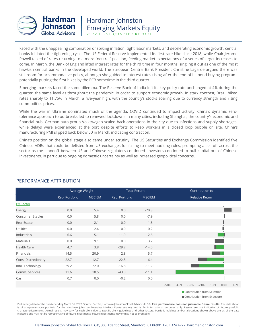

Faced with the unappealing combination of spiking inflation, tight labor markets, and decelerating economic growth, central banks initiated the tightening cycle. The US Federal Reserve implemented its first rate hike since 2018, while Chair Jerome Powell talked of rates returning to a more "neutral" position, feeding market expectations of a series of larger increases to come. In March, the Bank of England lifted interest rates for the third time in four months, singling it out as one of the most hawkish central banks in the developed world. The European Central Bank President Christine Lagarde argued there was still room for accommodative policy, although she guided to interest rates rising after the end of its bond buying program, potentially putting the first hikes by the ECB sometime in the third quarter.

Emerging markets faced the same dilemma. The Reserve Bank of India left its key policy rate unchanged at 4% during the quarter, the same level as throughout the pandemic, in order to support economic growth. In stark contrast, Brazil hiked rates sharply to 11.75% in March, a five-year high, with the country's stocks soaring due to currency strength and rising commodities prices.

While the war in Ukraine dominated much of the agenda, COVID continued to impact activity. China's dynamic zerotolerance approach to outbreaks led to renewed lockdowns in many cities, including Shanghai, the country's economic and financial hub. German auto group Volkswagen scaled back operations in the city due to infections and supply shortages, while delays were experienced at the port despite efforts to keep workers in a closed loop bubble on site. China's manufacturing PMI slipped back below 50 in March, indicating contraction.

China's position on the global stage also came under scrutiny. The US Securities and Exchange Commission identified five Chinese ADRs that could be delisted from US exchanges for failing to meet auditing rules, prompting a sell-off across the sector as the standoff between US and Chinese regulators continued. Investors continued to pull capital out of Chinese investments, in part due to ongoing domestic uncertainty as well as increased geopolitical concerns.



## PERFORMANCE ATTRIBUTION

■ Contribution from Exposure

Preliminary data for the quarter ending March 31, 2022. Source: FactSet, Hardman Johnston Global Advisors LLC®. **Past performance does not guarantee future results.** The data shown is of a representative portfolio for the Hardman Johnston Emerging Markets Equity strategy and is for informational purposes only. Results are not indicative of future portfolio characteristics/returns. Actual results may vary for each client due to specific client guidelines and other factors. Portfolio holdings and/or allocations shown above are as of the date indicated and may not be representative of future investments. Future investments may or may not be profitable.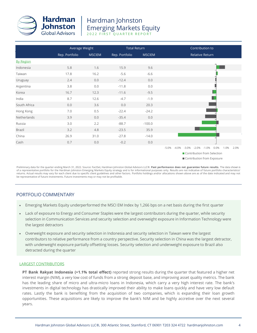

|                  |                | Average Weight |                | <b>Total Return</b> | Contribution to                                                        |  |  |  |
|------------------|----------------|----------------|----------------|---------------------|------------------------------------------------------------------------|--|--|--|
|                  | Rep. Portfolio | <b>MSCIEM</b>  | Rep. Portfolio | <b>MSCIEM</b>       | <b>Relative Return</b>                                                 |  |  |  |
| <b>By Region</b> |                |                |                |                     |                                                                        |  |  |  |
| Indonesia        | 5.8            | 1.6            | 15.9           | 9.6                 |                                                                        |  |  |  |
| Taiwan           | 17.8           | 16.2           | $-5.6$         | $-6.6$              |                                                                        |  |  |  |
| Uruguay          | 2.4            | 0.0            | $-12.4$        | 0.0                 |                                                                        |  |  |  |
| Argentina        | 3.8            | 0.0            | $-11.8$        | 0.0                 |                                                                        |  |  |  |
| Korea            | 16.7           | 12.3           | $-11.6$        | $-9.5$              |                                                                        |  |  |  |
| India            | 8.7            | 12.6           | $-4.7$         | $-1.9$              |                                                                        |  |  |  |
| South Africa     | 0.0            | 3.6            | 0.0            | 20.3                |                                                                        |  |  |  |
| Hong Kong        | 7.0            | 0.5            | $-22.4$        | $-24.2$             |                                                                        |  |  |  |
| Netherlands      | 3.9            | 0.0            | $-35.4$        | 0.0                 |                                                                        |  |  |  |
| Russia           | 3.0            | 2.2            | $-88.7$        | $-100.0$            |                                                                        |  |  |  |
| <b>Brazil</b>    | 3.2            | 4.8            | $-23.5$        | 35.9                |                                                                        |  |  |  |
| China            | 26.9           | 31.0           | $-27.8$        | $-14.0$             |                                                                        |  |  |  |
| Cash             | 0.7            | 0.0            | $-0.2$         | 0.0                 |                                                                        |  |  |  |
|                  |                |                |                |                     | $-4.0\%$ $-3.0\%$ $-2.0\%$ $-1.0\%$<br>0.0%<br>1.0%<br>$-5.0%$<br>2.0% |  |  |  |
|                  |                |                |                |                     | Contribution from Selection                                            |  |  |  |

Contribution from Exposure

Preliminary data for the quarter ending March 31, 2022. Source: FactSet, Hardman Johnston Global Advisors LLC®. **Past performance does not guarantee future results.** The data shown is of a representative portfolio for the Hardman Johnston Emerging Markets Equity strategy and is for informational purposes only. Results are not indicative of future portfolio characteristics/ returns. Actual results may vary for each client due to specific client guidelines and other factors. Portfolio holdings and/or allocations shown above are as of the date indicated and may not be representative of future investments. Future investments may or may not be profitable.

### PORTFOLIO COMMENTARY

- Emerging Markets Equity underperformed the MSCI EM Index by 1,266 bps on a net basis during the first quarter
- Lack of exposure to Energy and Consumer Staples were the largest contributors during the quarter, while security selection in Communication Services and security selection and overweight exposure in Information Technology were the largest detractors
- Overweight exposure and security selection in Indonesia and security selection in Taiwan were the largest contributors to relative performance from a country perspective. Security selection in China was the largest detractor, with underweight exposure partially offsetting losses. Security selection and underweight exposure to Brazil also detracted during the quarter

#### LARGEST CONTRIBUTORS

**PT Bank Rakyat Indonesia (+1.1% total effect)** reported strong results during the quarter that featured a higher net interest margin (NIM), a very low cost of funds from a strong deposit base, and improving asset quality metrics. The bank has the leading share of micro and ultra-micro loans in Indonesia, which carry a very high interest rate. The bank's investments in digital technology has drastically improved their ability to make loans quickly and have very low default rates. Lastly the bank is benefiting from the acquisition of two companies, which is expanding their loan growth opportunities. These acquisitions are likely to improve the bank's NIM and be highly accretive over the next several years.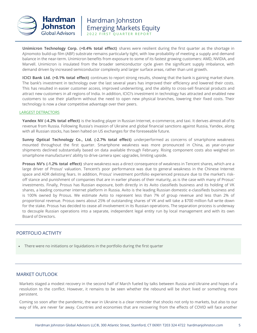

**Unimicron Technology Corp. (+0.4% total effect)** shares were resilient during the first quarter as the shortage in Ajinomoto build-up film (ABF) substrate remains particularly tight, with low probability of meeting a supply and demand balance in the near-term. Unimicron benefits from exposure to some of its fastest growing customers: AMD, NVIDIA, and Marvell. Unimicron is insulated from the broader semiconductor cycle given the significant supply imbalance, with demand driven by increased semiconductor complexity and larger surface areas, rather than unit growth.

**ICICI Bank Ltd. (+0.1% total effect)** continues to report strong results, showing that the bank is gaining market share. The bank's investment in technology over the last several years has improved their efficiency and lowered their costs. This has resulted in easier customer access, improved underwriting, and the ability to cross-sell financial products and attract new customers in all regions of India. In addition, ICICI's investment in technology has attracted and enabled new customers to use their platform without the need to open new physical branches, lowering their fixed costs. Their technology is now a clear competitive advantage over their peers.

#### LARGEST DETRACTORS

**Yandex NV (-4.2% total effect)** is the leading player in Russian Internet, e-commerce, and taxi. It derives almost all of its revenue from Russia. Following Russia's invasion of Ukraine and global financial sanctions against Russia, Yandex, along with all Russian stocks, has been halted on US exchanges for the foreseeable future.

**Sunny Optical Technology Co., Ltd. (-2.7% total effect)** underperformed as concerns of smartphone weakness mounted throughout the first quarter. Smartphone weakness was more pronounced in China, as year-on-year shipments declined substantially based on data available through February. Rising component costs also weighed on smartphone manufacturers' ability to drive camera spec upgrades, limiting upside.

**Prosus NV's (-1.2% total effect)** share weakness was a direct consequence of weakness in Tencent shares, which are a large driver of Prosus' valuation. Tencent's poor performance was due to general weakness in the Chinese Internet space and ADR delisting fears. In addition, Prosus' investment portfolio experienced pressure due to the market's riskoff stance and punishment of companies that are in earlier phases of their maturity, as is the case with many of Prosus' investments. Finally, Prosus has Russian exposure, both directly in its Avito classifieds business and its holding of VK shares, a leading consumer internet platform in Russia. Avito is the leading Russian domestic e-classifieds business and is 100% owned by Prosus. We estimate Avito to represent less than 7% of group revenue and less than 2% of proportional revenue. Prosus owns about 25% of outstanding shares of VK and will take a \$700 million full write down for the stake. Prosus has decided to cease all involvement in its Russian operations. The separation process is underway to decouple Russian operations into a separate, independent legal entity run by local management and with its own Board of Directors.

#### PORTFOLIO ACTIVITY

• There were no initiations or liquidations in the portfolio during the first quarter

#### MARKET OUTLOOK

Markets staged a modest recovery in the second half of March fueled by talks between Russia and Ukraine and hopes of a resolution to the conflict. However, it remains to be seen whether the rebound will be short lived or something more persistent.

Coming so soon after the pandemic, the war in Ukraine is a clear reminder that shocks not only to markets, but also to our way of life, are never far away. Countries and economies that are recovering from the effects of COVID will face another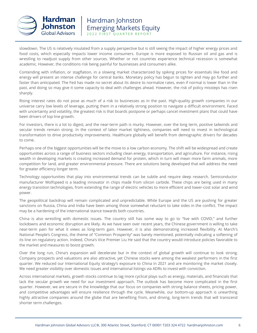

slowdown. The US is relatively insulated from a supply perspective but is still seeing the impact of higher energy prices and food costs, which especially impacts lower income consumers. Europe is more exposed to Russian oil and gas and is wrestling to readjust supply from other sources. Whether or not countries experience technical recession is somewhat academic. However, the conditions risk being painful for businesses and consumers alike.

Contending with inflation, or stagflation, in a slowing market characterized by spiking prices for essentials like food and energy will present an intense challenge for central banks. Monetary policy has begun to tighten and may go further and faster than anticipated. The Fed has made no secret about its desire to normalize rates, even if normal is lower than in the past, and doing so may give it some capacity to deal with challenges ahead. However, the risk of policy missteps has risen sharply.

Rising interest rates do not pose as much of a risk to businesses as in the past. High-quality growth companies in our universe carry low levels of leverage, putting them in a relatively strong position to navigate a difficult environment. Faced with uncertainty and volatility, the greatest risk is that boards postpone or perhaps cancel investment plans that could have been drivers of top line growth.

For investors, there is a lot to digest, and the near-term path is murky. However, over the long term, positive tailwinds and secular trends remain strong. In the context of labor market tightness, companies will need to invest in technological transformation to drive productivity improvements. Healthcare globally will benefit from demographic drivers for decades to come.

Perhaps one of the biggest opportunities will be the move to a low carbon economy. The shift will be widespread and create opportunities across a range of business sectors including clean energy, transportation, and agriculture. For instance, rising wealth in developing markets is creating increased demand for protein, which in turn will mean more farm animals, more competition for land, and greater environmental pressure. There are solutions being developed that will address the need for greater efficiency longer term.

Technology opportunities that play into environmental trends can be subtle and require deep research. Semiconductor manufacturer Wolfspeed is a leading innovator in chips made from silicon carbide. These chips are being used in many energy transition technologies, from extending the range of electric vehicles to more efficient and lower-cost solar and wind power.

The geopolitical backdrop will remain complicated and unpredictable. While Europe and the US are pushing for greater sanctions on Russia, China and India have been among those somewhat reluctant to take sides in the conflict. The impact may be a hardening of the international stance towards both countries.

China is also wrestling with domestic issues. The country still has some way to go to "live with COVID," and further lockdowns and economic disruption are likely. As we have seen over recent years, the Chinese government is willing to take near-term pain for what it views as long-term gain. However, it is also demonstrating increased flexibility. At March's National People's Congress, the theme of "Common Prosperity" was barely mentioned, potentially indicating a softening of its line on regulatory action. Indeed, China's Vice Premier Liu He said that the country would introduce policies favorable to the market and measures to boost growth.

Over the long run, China's expansion will decelerate but in the context of global growth will continue to look strong. Company prospects and valuations are also attractive, yet Chinese stocks were among the weakest performers in the first quarter. We reduced our International Equity strategy's exposure to China in 2021 and are monitoring the market closely. We need greater visibility over domestic issues and international listings via ADRs to invest with conviction.

Across international markets, growth stocks continue to lag more cyclical plays such as energy, materials, and financials that lack the secular growth we need for our investment approach. The outlook has become more complicated in the first quarter. However, we are secure in the knowledge that our focus on companies with strong balance sheets, pricing power, and competitive advantages will ensure resilience through the cycle. Meanwhile, our bottom-up approach is unearthing highly attractive companies around the globe that are benefiting from, and driving, long-term trends that will transcend shorter term challenges.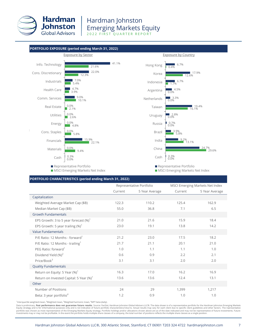



#### **PORTFOLIO CHARACTERISTICS (period ending March 31, 2022)**

|                                                     |         | Representative Portfolio |         | MSCI Emerging Markets Net Index |
|-----------------------------------------------------|---------|--------------------------|---------|---------------------------------|
|                                                     | Current | 5 Year Average           | Current | 5 Year Average                  |
| Capitalization                                      |         |                          |         |                                 |
| Weighted Average Market Cap (\$B)                   | 122.3   | 110.2                    | 125.4   | 162.9                           |
| Median Market Cap (\$B)                             | 55.0    | 36.8                     | 7.1     | 6.5                             |
| <b>Growth Fundamentals</b>                          |         |                          |         |                                 |
| EPS Growth: 3 to 5 year forecast $(\%)^1$           | 21.0    | 21.6                     | 15.9    | 18.4                            |
| EPS Growth: 5 year trailing $(\%)^1$                | 23.0    | 19.1                     | 13.8    | 14.2                            |
| <b>Value Fundamentals</b>                           |         |                          |         |                                 |
| P/E Ratio: 12 Months - forward                      | 21.2    | 23.0                     | 17.5    | 18.2                            |
| P/E Ratio: 12 Months - trailing <sup>1</sup>        | 21.7    | 21.1                     | 20.1    | 21.0                            |
| PEG Ratio: forward <sup>1</sup>                     | 1.0     | 1.1                      | 1.1     | 1.0                             |
| Dividend Yield (%) <sup>2</sup>                     | 0.6     | 0.9                      | 2.2     | 2.1                             |
| Price/Book $3$                                      | 3.1     | 3.1                      | 2.0     | 2.0                             |
| <b>Quality Fundamentals</b>                         |         |                          |         |                                 |
| Return on Equity: 5 Year $(\%)^1$                   | 16.3    | 17.0                     | 16.2    | 16.9                            |
| Return on Invested Capital: 5 Year (%) <sup>1</sup> | 13.6    | 13.6                     | 12.4    | 13.1                            |
| Other                                               |         |                          |         |                                 |
| Number of Positions                                 | 24      | 29                       | 1,399   | 1,217                           |
| Beta: 3 year portfolio <sup>4</sup>                 | 1.2     | 0.9                      | 1.0     | 1.0                             |

<sup>1</sup>Interquartile weighted mean, <sup>2</sup>Weighted mean, <sup>3</sup>Weighted harmonic mean, <sup>4</sup>MPT beta (daily).

Data is preliminary. Past performance does not guarantee future results. Source: FactSet, Hardman Johnston Global Advisors LLC®. The data shown is of a representative portfolio for the Hardman Johnston Emerging Markets Equity strategy and is for informational purposes only and is not indicative of future portfolio characteristics/returns. Actual results may vary for each client due to specific client guidelines and other factors. The rep